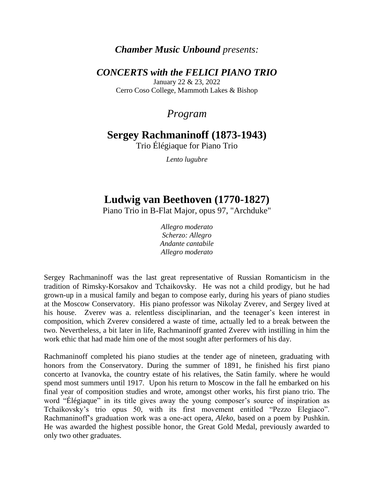### *Chamber Music Unbound presents:*

### *CONCERTS with the FELICI PIANO TRIO*

January 22 & 23, 2022 Cerro Coso College, Mammoth Lakes & Bishop

## *Program*

# **Sergey Rachmaninoff (1873-1943)**

Trio Élégiaque for Piano Trio

*Lento lugubre*

# **Ludwig van Beethoven (1770-1827)**

Piano Trio in B-Flat Major, opus 97, "Archduke"

*Allegro moderato Scherzo: Allegro Andante cantabile Allegro moderato*

Sergey Rachmaninoff was the last great representative of Russian Romanticism in the tradition of Rimsky-Korsakov and Tchaikovsky. He was not a child prodigy, but he had grown-up in a musical family and began to compose early, during his years of piano studies at the Moscow Conservatory. His piano professor was Nikolay Zverev, and Sergey lived at his house. Zverev was a. relentless disciplinarian, and the teenager's keen interest in composition, which Zverev considered a waste of time, actually led to a break between the two. Nevertheless, a bit later in life, Rachmaninoff granted Zverev with instilling in him the work ethic that had made him one of the most sought after performers of his day.

Rachmaninoff completed his piano studies at the tender age of nineteen, graduating with honors from the Conservatory. During the summer of 1891, he finished his first piano concerto at Ivanovka, the country estate of his relatives, the Satin family. where he would spend most summers until 1917. Upon his return to Moscow in the fall he embarked on his final year of composition studies and wrote, amongst other works, his first piano trio. The word "Élégiaque" in its title gives away the young composer's source of inspiration as Tchaikovsky's trio opus 50, with its first movement entitled "Pezzo Elegiaco". Rachmaninoff's graduation work was a one-act opera, *Aleko*, based on a poem by Pushkin. He was awarded the highest possible honor, the Great Gold Medal, previously awarded to only two other graduates.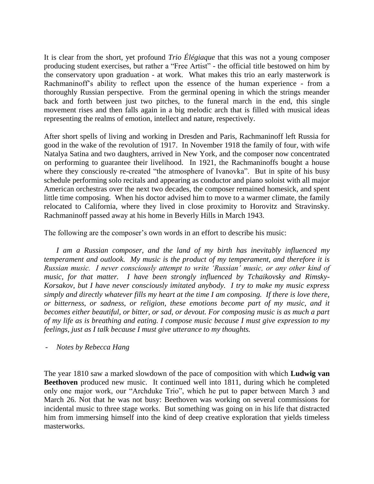It is clear from the short, yet profound *Trio Élégiaque* that this was not a young composer producing student exercises, but rather a "Free Artist" - the official title bestowed on him by the conservatory upon graduation - at work. What makes this trio an early masterwork is Rachmaninoff's ability to reflect upon the essence of the human experience - from a thoroughly Russian perspective. From the germinal opening in which the strings meander back and forth between just two pitches, to the funeral march in the end, this single movement rises and then falls again in a big melodic arch that is filled with musical ideas representing the realms of emotion, intellect and nature, respectively.

After short spells of living and working in Dresden and Paris, Rachmaninoff left Russia for good in the wake of the revolution of 1917. In November 1918 the family of four, with wife Natalya Satina and two daughters, arrived in New York, and the composer now concentrated on performing to guarantee their livelihood. In 1921, the Rachmaninoffs bought a house where they consciously re-created "the atmosphere of Ivanovka". But in spite of his busy schedule performing solo recitals and appearing as conductor and piano soloist with all major American orchestras over the next two decades, the composer remained homesick, and spent little time composing. When his doctor advised him to move to a warmer climate, the family relocated to California, where they lived in close proximity to Horovitz and Stravinsky. Rachmaninoff passed away at his home in Beverly Hills in March 1943.

The following are the composer's own words in an effort to describe his music:

*I am a Russian composer, and the land of my birth has inevitably influenced my temperament and outlook. My music is the product of my temperament, and therefore it is Russian music. I never consciously attempt to write 'Russian' music, or any other kind of music, for that matter. I have been strongly influenced by Tchaikovsky and Rimsky-Korsakov, but I have never consciously imitated anybody. I try to make my music express simply and directly whatever fills my heart at the time I am composing. If there is love there, or bitterness, or sadness, or religion, these emotions become part of my music, and it becomes either beautiful, or bitter, or sad, or devout. For composing music is as much a part of my life as is breathing and eating. I compose music because I must give expression to my feelings, just as I talk because I must give utterance to my thoughts.*

- *Notes by Rebecca Hang* 

The year 1810 saw a marked slowdown of the pace of composition with which **Ludwig van Beethoven** produced new music.It continued well into 1811, during which he completed only one major work, our "Archduke Trio", which he put to paper between March 3 and March 26. Not that he was not busy: Beethoven was working on several commissions for incidental music to three stage works. But something was going on in his life that distracted him from immersing himself into the kind of deep creative exploration that yields timeless masterworks.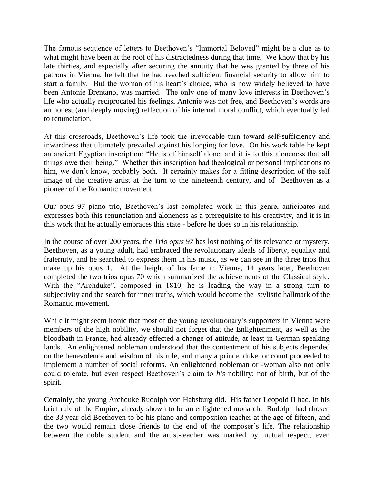The famous sequence of letters to Beethoven's "Immortal Beloved" might be a clue as to what might have been at the root of his distractedness during that time. We know that by his late thirties, and especially after securing the annuity that he was granted by three of his patrons in Vienna, he felt that he had reached sufficient financial security to allow him to start a family. But the woman of his heart's choice, who is now widely believed to have been Antonie Brentano, was married. The only one of many love interests in Beethoven's life who actually reciprocated his feelings, Antonie was not free, and Beethoven's words are an honest (and deeply moving) reflection of his internal moral conflict, which eventually led to renunciation.

At this crossroads, Beethoven's life took the irrevocable turn toward self-sufficiency and inwardness that ultimately prevailed against his longing for love. On his work table he kept an ancient Egyptian inscription: "He is of himself alone, and it is to this aloneness that all things owe their being." Whether this inscription had theological or personal implications to him, we don't know, probably both. It certainly makes for a fitting description of the self image of the creative artist at the turn to the nineteenth century, and of Beethoven as a pioneer of the Romantic movement.

Our opus 97 piano trio, Beethoven's last completed work in this genre, anticipates and expresses both this renunciation and aloneness as a prerequisite to his creativity, and it is in this work that he actually embraces this state - before he does so in his relationship.

In the course of over 200 years, the *Trio opus 97* has lost nothing of its relevance or mystery. Beethoven, as a young adult, had embraced the revolutionary ideals of liberty, equality and fraternity, and he searched to express them in his music, as we can see in the three trios that make up his opus 1. At the height of his fame in Vienna, 14 years later, Beethoven completed the two trios opus 70 which summarized the achievements of the Classical style. With the "Archduke", composed in 1810, he is leading the way in a strong turn to subjectivity and the search for inner truths, which would become the stylistic hallmark of the Romantic movement.

While it might seem ironic that most of the young revolutionary's supporters in Vienna were members of the high nobility, we should not forget that the Enlightenment, as well as the bloodbath in France, had already effected a change of attitude, at least in German speaking lands. An enlightened nobleman understood that the contentment of his subjects depended on the benevolence and wisdom of his rule, and many a prince, duke, or count proceeded to implement a number of social reforms. An enlightened nobleman or -woman also not only could tolerate, but even respect Beethoven's claim to *his* nobility; not of birth, but of the spirit.

Certainly, the young Archduke Rudolph von Habsburg did. His father Leopold II had, in his brief rule of the Empire, already shown to be an enlightened monarch. Rudolph had chosen the 33 year-old Beethoven to be his piano and composition teacher at the age of fifteen, and the two would remain close friends to the end of the composer's life. The relationship between the noble student and the artist-teacher was marked by mutual respect, even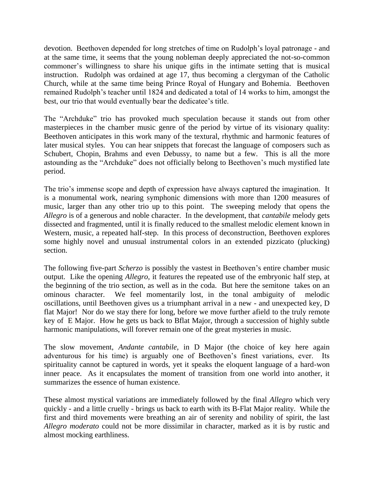devotion. Beethoven depended for long stretches of time on Rudolph's loyal patronage - and at the same time, it seems that the young nobleman deeply appreciated the not-so-common commoner's willingness to share his unique gifts in the intimate setting that is musical instruction. Rudolph was ordained at age 17, thus becoming a clergyman of the Catholic Church, while at the same time being Prince Royal of Hungary and Bohemia. Beethoven remained Rudolph's teacher until 1824 and dedicated a total of 14 works to him, amongst the best, our trio that would eventually bear the dedicatee's title.

The "Archduke" trio has provoked much speculation because it stands out from other masterpieces in the chamber music genre of the period by virtue of its visionary quality: Beethoven anticipates in this work many of the textural, rhythmic and harmonic features of later musical styles. You can hear snippets that forecast the language of composers such as Schubert, Chopin, Brahms and even Debussy, to name but a few. This is all the more astounding as the "Archduke" does not officially belong to Beethoven's much mystified late period.

The trio's immense scope and depth of expression have always captured the imagination. It is a monumental work, nearing symphonic dimensions with more than 1200 measures of music, larger than any other trio up to this point. The sweeping melody that opens the *Allegro* is of a generous and noble character. In the development, that *cantabile* melody gets dissected and fragmented, until it is finally reduced to the smallest melodic element known in Western, music, a repeated half-step. In this process of deconstruction, Beethoven explores some highly novel and unusual instrumental colors in an extended pizzicato (plucking) section.

The following five-part *Scherzo* is possibly the vastest in Beethoven's entire chamber music output. Like the opening *Allegro,* it features the repeated use of the embryonic half step, at the beginning of the trio section, as well as in the coda. But here the semitone takes on an ominous character. We feel momentarily lost, in the tonal ambiguity of melodic oscillations, until Beethoven gives us a triumphant arrival in a new - and unexpected key, D flat Major! Nor do we stay there for long, before we move further afield to the truly remote key of E Major. How he gets us back to Bflat Major, through a succession of highly subtle harmonic manipulations, will forever remain one of the great mysteries in music.

The slow movement, *Andante cantabile,* in D Major (the choice of key here again adventurous for his time) is arguably one of Beethoven's finest variations, ever. Its spirituality cannot be captured in words, yet it speaks the eloquent language of a hard-won inner peace. As it encapsulates the moment of transition from one world into another, it summarizes the essence of human existence.

These almost mystical variations are immediately followed by the final *Allegro* which very quickly - and a little cruelly - brings us back to earth with its B-Flat Major reality. While the first and third movements were breathing an air of serenity and nobility of spirit, the last *Allegro moderato* could not be more dissimilar in character, marked as it is by rustic and almost mocking earthliness.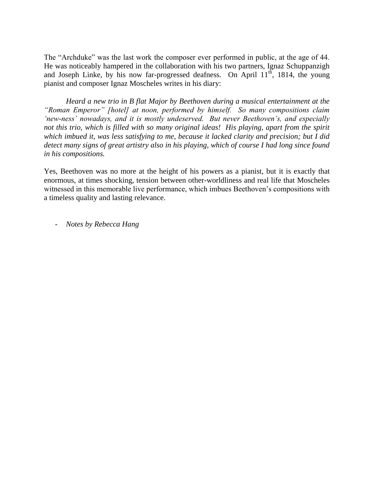The "Archduke" was the last work the composer ever performed in public, at the age of 44. He was noticeably hampered in the collaboration with his two partners, Ignaz Schuppanzigh and Joseph Linke, by his now far-progressed deafness. On April 11<sup>th</sup>, 1814, the young pianist and composer Ignaz Moscheles writes in his diary:

*Heard a new trio in B flat Major by Beethoven during a musical entertainment at the "Roman Emperor" [hotel] at noon, performed by himself. So many compositions claim 'new-ness' nowadays, and it is mostly undeserved. But never Beethoven's, and especially not this trio, which is filled with so many original ideas! His playing, apart from the spirit which imbued it, was less satisfying to me, because it lacked clarity and precision; but I did detect many signs of great artistry also in his playing, which of course I had long since found in his compositions.*

Yes, Beethoven was no more at the height of his powers as a pianist, but it is exactly that enormous, at times shocking, tension between other-worldliness and real life that Moscheles witnessed in this memorable live performance, which imbues Beethoven's compositions with a timeless quality and lasting relevance.

- *Notes by Rebecca Hang*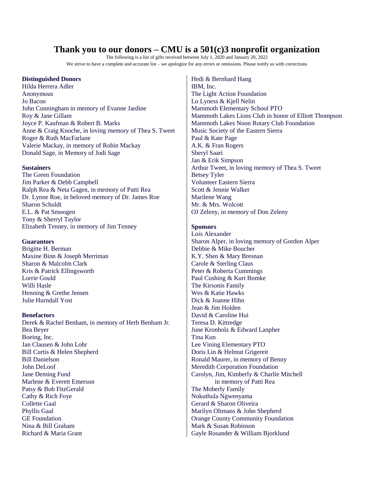### **Thank you to our donors – CMU is a 501(c)3 nonprofit organization**

The following is a list of gifts received between July 1, 2020 and January 20, 2022 We strive to have a complete and accurate list – we apologize for any errors or omissions. Please notify us with corrections

#### **Distinguished Donors**

Hilda Herrera Adler Anonymous Jo Bacon John Cunningham in memory of Evanne Jardine Roy & Jane Gillam Joyce P. Kaufman & Robert B. Marks Anne & Craig Knoche, in loving memory of Thea S. Tweet Roger & Ruth MacFarlane Valerie Mackay, in memory of Robin Mackay Donald Sage, in Memory of Jodi Sage

#### **Sustainers**

The Green Foundation Jim Parker & Debb Campbell Ralph Rea & Neta Gagen, in memory of Patti Rea Dr. Lynne Roe, in beloved memory of Dr. James Roe Sharon Schuldt E.L. & Pat Smoogen Tony & Sherryl Taylor Elizabeth Tenney, in memory of Jim Tenney

#### **Guarantors**

Brigitte H. Berman Maxine Binn & Joseph Merriman Sharon & Malcolm Clark Kris & Patrick Ellingsworth Lorrie Gould Willi Hasle Henning & Grethe Jensen Julie Hurndall Yost

#### **Benefactors**

Derek & Rachel Benham, in memory of Herb Benham Jr. Bea Beyer Boeing, Inc. Jan Clausen & John Lohr Bill Curtis & Helen Shepherd Bill Danielson John DeLoof Jane Deming Fund Marlene & Everett Emerson Patsy & Bob FitzGerald Cathy & Rich Foye Collette Gaal Phyllis Gaal GE Foundation Nina & Bill Graham Richard & Maria Grant

Hedi & Bernhard Hang IBM, Inc. The Light Action Foundation Lo Lyness & Kjell Nelin Mammoth Elementary School PTO Mammoth Lakes Lions Club in honor of Elliott Thompson Mammoth Lakes Noon Rotary Club Foundation Music Society of the Eastern Sierra Paul & Kate Page A.K. & Fran Rogers Sheryl Saari Jan & Erik Simpson Arthur Tweet, in loving memory of Thea S. Tweet Betsey Tyler Volunteer Eastern Sierra Scott & Jennie Walker Marilene Wang Mr. & Mrs. Wolcott OJ Zeleny, in memory of Don Zeleny

#### **Sponsors**

Lois Alexander Sharon Alper, in loving memory of Gordon Alper Debbie & Mike Boucher K.Y. Shen & Mary Bresnan Carole & Sterling Claus Peter & Roberta Cummings Paul Cushing & Kurt Bomke The Kirsonis Family Wes & Katie Hawks Dick & Joanne Hihn Jean & Jim Holden David & Caroline Hui Teresa D. Kittredge June Kronholz & Edward Lanpher Tina Kun Lee Vining Elementary PTO Doris Lin & Helmut Grigereit Ronald Maurer, in memory of Benny Meredith Corporation Foundation Carolyn, Jim, Kimberly & Charlie Mitchell in memory of Patti Rea The Moberly Family Nokuthula Ngwenyama Gerard & Sharon Oliveira Marilyn Oltmans & John Shepherd Orange County Community Foundation Mark & Susan Robinson Gayle Rosander & William Bjorklund